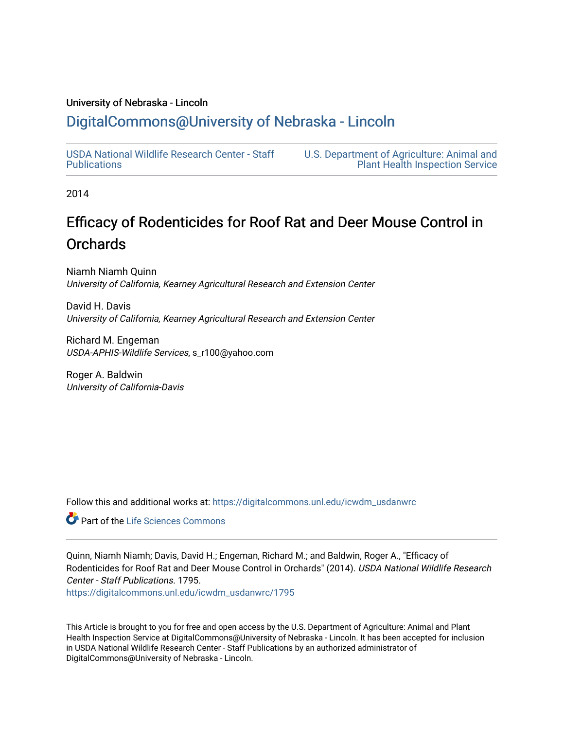#### University of Nebraska - Lincoln

## [DigitalCommons@University of Nebraska - Lincoln](https://digitalcommons.unl.edu/)

[USDA National Wildlife Research Center - Staff](https://digitalcommons.unl.edu/icwdm_usdanwrc)  [Publications](https://digitalcommons.unl.edu/icwdm_usdanwrc) 

[U.S. Department of Agriculture: Animal and](https://digitalcommons.unl.edu/usdaaphis)  [Plant Health Inspection Service](https://digitalcommons.unl.edu/usdaaphis) 

2014

# Efficacy of Rodenticides for Roof Rat and Deer Mouse Control in **Orchards**

Niamh Niamh Quinn University of California, Kearney Agricultural Research and Extension Center

David H. Davis University of California, Kearney Agricultural Research and Extension Center

Richard M. Engeman USDA-APHIS-Wildlife Services, s\_r100@yahoo.com

Roger A. Baldwin University of California-Davis

Follow this and additional works at: [https://digitalcommons.unl.edu/icwdm\\_usdanwrc](https://digitalcommons.unl.edu/icwdm_usdanwrc?utm_source=digitalcommons.unl.edu%2Ficwdm_usdanwrc%2F1795&utm_medium=PDF&utm_campaign=PDFCoverPages)

**C** Part of the Life Sciences Commons

Quinn, Niamh Niamh; Davis, David H.; Engeman, Richard M.; and Baldwin, Roger A., "Efficacy of Rodenticides for Roof Rat and Deer Mouse Control in Orchards" (2014). USDA National Wildlife Research Center - Staff Publications. 1795.

[https://digitalcommons.unl.edu/icwdm\\_usdanwrc/1795](https://digitalcommons.unl.edu/icwdm_usdanwrc/1795?utm_source=digitalcommons.unl.edu%2Ficwdm_usdanwrc%2F1795&utm_medium=PDF&utm_campaign=PDFCoverPages) 

This Article is brought to you for free and open access by the U.S. Department of Agriculture: Animal and Plant Health Inspection Service at DigitalCommons@University of Nebraska - Lincoln. It has been accepted for inclusion in USDA National Wildlife Research Center - Staff Publications by an authorized administrator of DigitalCommons@University of Nebraska - Lincoln.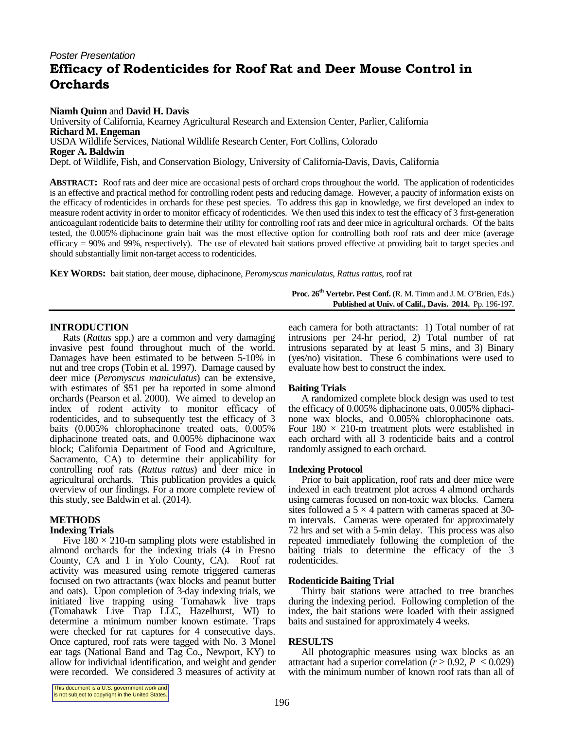### *Poster Presentation* Efficacy of Rodenticides for Roof Rat and Deer Mouse Control in **Orchards**

**Niamh Quinn** and **David H. Davis** University of California, Kearney Agricultural Research and Extension Center, Parlier,California **Richard M. Engeman** USDA Wildlife Services, National Wildlife Research Center, Fort Collins, Colorado **Roger A. Baldwin** Dept. of Wildlife, Fish, and Conservation Biology, University of California-Davis, Davis, California

**ABSTRACT:** Roof rats and deer mice are occasional pests of orchard crops throughout the world. The application of rodenticides is an effective and practical method for controlling rodent pests and reducing damage. However, a paucity of information exists on the efficacy of rodenticides in orchards for these pest species. To address this gap in knowledge, we first developed an index to measure rodent activity in order to monitor efficacy of rodenticides. We then used this index to test the efficacy of 3 first-generation anticoagulant rodenticide baits to determine their utility for controlling roof rats and deer mice in agricultural orchards. Of the baits tested, the 0.005% diphacinone grain bait was the most effective option for controlling both roof rats and deer mice (average efficacy = 90% and 99%, respectively). The use of elevated bait stations proved effective at providing bait to target species and should substantially limit non-target access to rodenticides.

**KEYWORDS:** bait station, deer mouse, diphacinone, *Peromyscus maniculatus*, *Rattus rattus*, roof rat

**Proc. 26th Vertebr. Pest Conf.** (R. M. Timm and J. M. O'Brien, Eds.) **Published at Univ. of Calif., Davis. 2014.** Pp. 196-197.

#### **INTRODUCTION**

Rats (*Rattus* spp.) are a common and very damaging invasive pest found throughout much of the world. Damages have been estimated to be between 5-10% in nut and tree crops (Tobin et al. 1997). Damage caused by deer mice (*Peromyscus maniculatus*) can be extensive, with estimates of \$51 per ha reported in some almond orchards (Pearson et al. 2000). We aimed to develop an index of rodent activity to monitor efficacy of rodenticides, and to subsequently test the efficacy of 3 baits (0.005% chlorophacinone treated oats, 0.005% diphacinone treated oats, and 0.005% diphacinone wax block; California Department of Food and Agriculture, Sacramento, CA) to determine their applicability for controlling roof rats (*Rattus rattus*) and deer mice in agricultural orchards. This publication provides a quick overview of our findings. For a more complete review of this study, see Baldwin et al. (2014).

#### **METHODS**

#### **Indexing Trials**

Five  $180 \times 210$ -m sampling plots were established in almond orchards for the indexing trials (4 in Fresno County, CA and 1 in Yolo County, CA). Roof rat activity was measured using remote triggered cameras focused on two attractants (wax blocks and peanut butter and oats). Upon completion of 3-day indexing trials, we initiated live trapping using Tomahawk live traps (Tomahawk Live Trap LLC, Hazelhurst, WI) to determine a minimum number known estimate. Traps were checked for rat captures for 4 consecutive days. Once captured, roof rats were tagged with No. 3 Monel ear tags (National Band and Tag Co., Newport, KY) to allow for individual identification, and weight and gender were recorded. We considered 3 measures of activity at

each camera for both attractants: 1) Total number of rat intrusions per 24-hr period, 2) Total number of rat intrusions separated by at least  $5$  mins, and  $3$ ) Binary (yes/no) visitation. These 6 combinations were used to evaluate how best to construct the index.

#### **Baiting Trials**

A randomized complete block design was used to test the efficacy of 0.005% diphacinone oats, 0.005% diphaci none wax blocks, and 0.005% chlorophacinone oats. Four  $180 \times 210$ -m treatment plots were established in each orchard with all 3 rodenticide baits and a control randomly assigned to each orchard.

#### **Indexing Protocol**

Prior to bait application, roof rats and deer mice were indexed in each treatment plot across 4 almond orchards using cameras focused on non-toxic wax blocks. Camera sites followed a  $5 \times 4$  pattern with cameras spaced at 30-<br>m intervals. Cameras were operated for approximately 72 hrs and set with a 5-min delay. This process was also repeated immediately following the completion of the baiting trials to determine the efficacy of the 3 rodenticides.

#### **Rodenticide Baiting Trial**

Thirty bait stations were attached to tree branches during the indexing period. Following completion of the index, the bait stations were loaded with their assigned baits and sustained for approximately 4 weeks.

#### **RESULTS**

All photographic measures using wax blocks as an attractant had a superior correlation ( $r \ge 0.92$ ,  $P \le 0.029$ ) with the minimum number of known roof rats than all of